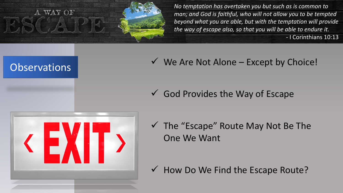A WAY OF

*No temptation has overtaken you but such as is common to man; and God is faithful, who will not allow you to be tempted beyond what you are able, but with the temptation will provide the way of escape also, so that you will be able to endure it.* - I Corinthians 10:13

 $\checkmark$  We Are Not Alone – Except by Choice!

 $\checkmark$  God Provides the Way of Escape



**Observations** 

 $\checkmark$  The "Escape" Route May Not Be The One We Want

 $\checkmark$  How Do We Find the Escape Route?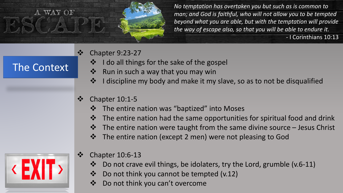

- **❖** Chapter 9:23-27
	- I do all things for the sake of the gospel
	- ❖ Run in such a way that you may win
	- ❖ I discipline my body and make it my slave, so as to not be disqualified
- $\div$  Chapter 10:1-5
	- The entire nation was "baptized" into Moses
	- $\cdot$  The entire nation had the same opportunities for spiritual food and drink
	- $\mathbf{\hat{P}}$  The entire nation were taught from the same divine source Jesus Christ
	- ❖ The entire nation (except 2 men) were not pleasing to God



The Context

- $\div$  Chapter 10:6-13
	- Do not crave evil things, be idolaters, try the Lord, grumble (v.6-11)
	- ❖ Do not think you cannot be tempted (v.12)
	- Do not think you can't overcome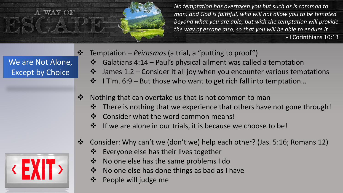

We are Not Alone, Except by Choice

- <u>◆ Temptation Peirasmos</u> (a trial, a "putting to proof")
	- $\cdot$  Galatians 4:14 Paul's physical ailment was called a temptation
	- $\cdot \cdot$  James 1:2 Consider it all joy when you encounter various temptations
	- $\mathbf{\hat{P}}$  I Tim. 6:9 But those who want to get rich fall into temptation...
- ❖ Nothing that can overtake us that is not common to man
	- **\*** There is nothing that we experience that others have not gone through!
	- ❖ Consider what the word common means!
	- $\mathbf{\hat{P}}$  If we are alone in our trials, it is because we choose to be!
- Consider: Why can't we (don't we) help each other? (Jas. 5:16; Romans 12)
	- ❖ Everyone else has their lives together
	- ❖ No one else has the same problems I do
	- No one else has done things as bad as I have
	- ❖ People will judge me

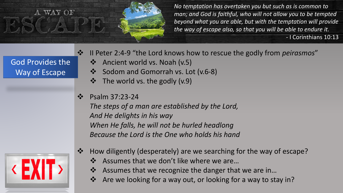

|                  | $\cdot$ II Peter 2:4-9 "the |
|------------------|-----------------------------|
| God Provides the | ❖ Ancient worl              |
| Way of Escape    | ❖ Sodom and G               |
|                  | ❖ The world vs              |

- e Lord knows how to rescue the godly from *peirasmos*"
	- $d$  vs. Noah (v.5)
	- Gomorrah vs. Lot (v.6-8)
	- the godly  $(v.9)$
- $\cdot$  Psalm 37:23-24

*The steps of a man are established by the Lord, And He delights in his way When He falls, he will not be hurled headlong Because the Lord is the One who holds his hand*



- How diligently (desperately) are we searching for the way of escape?
	- ❖ Assumes that we don't like where we are...
	- ❖ Assumes that we recognize the danger that we are in...
	- Are we looking for a way out, or looking for a way to stay in?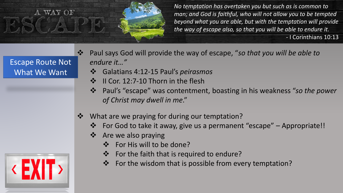

## Escape Route Not What We Want

- Paul says God will provide the way of escape, "*so that you will be able to endure it…"*
	- Galatians 4:12-15 Paul's *peirasmos*
	- ❖ II Cor. 12:7-10 Thorn in the flesh
	- Paul's "escape" was contentment, boasting in his weakness "*so the power of Christ may dwell in me*."
- ❖ What are we praying for during our temptation?
	- For God to take it away, give us a permanent "escape" Appropriate!!
	- Are we also praying
		- ❖ For His will to be done?
		- $\mathbf{\hat{P}}$  For the faith that is required to endure?
		- ❖ For the wisdom that is possible from every temptation?